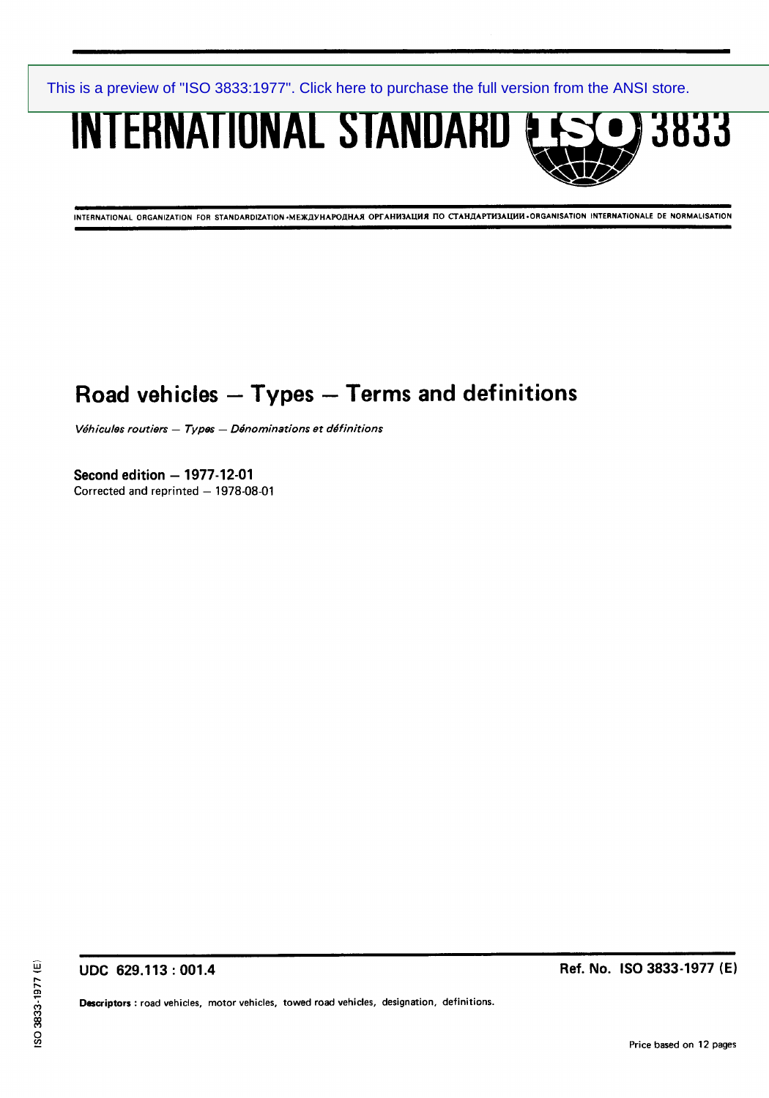**INTERNATIONAL STANDARD & SSC 3833** 

INTERNATIONAL ORGANIZATION FOR STANDARDIZATION .MEX<sub>A</sub>UHAPOAHAX OPTAHM3ALWX ITO CTAHAAPTH3ALWI .ORGANISATION INTERNATIONALE DE NORMALISATION

# **Road vehicles - Types - Terms and definitions**

*V&hicules routiers - Types - D&nominations et de'finitions* 

**Second edition - 1977-12-01**  Corrected and reprinted - 1978-08-01

**UDC 629.113 : 001.4** 

**Ref. No. IS0 3833-1977 (E)** 

Descriptors **: road vehicles, motor vehicles, towed road vehicles, designation, definitions.**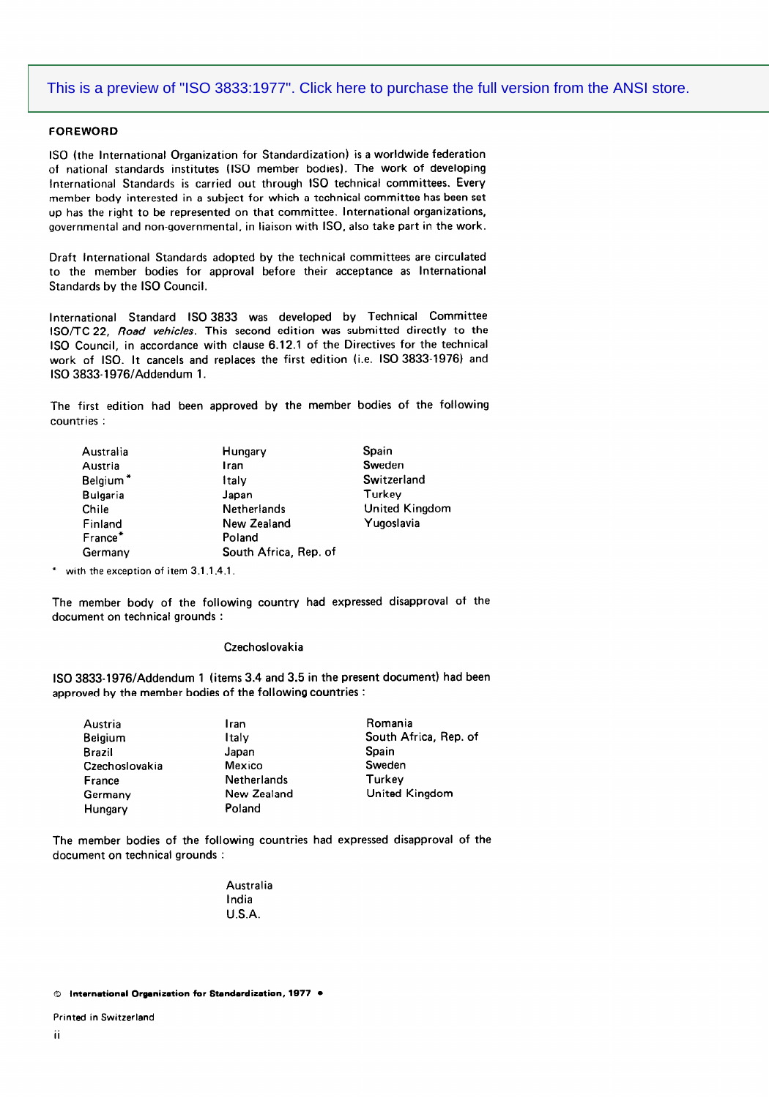#### **FOREWORD**

**IS0 (the International Organization for Standardization) is a worldwide federation of national standards institutes (IS0 member bodies). The work of developing International Standards is carried out through IS0 technical committees. Every member body interested in a subject for which a technical committee has been set up has the right to be represented on that committee. International organizations, governmental and non-governmental, in liaison with ISO, also take part in the work.** 

**Draft International Standards adopted by the technical committees are circulated to the member bodies for approval before their acceptance as International Standards by the IS0 Council.** 

**International Standard IS0 3833 was developed by Technical Committee lSO/TC 22,** *Road vehicles.* **This second edition was submitted directly to the IS0 Council, in accordance with clause 6.12.1 of the Directives for the technical work of ISO. It cancels and replaces the first edition (i.e. IS0 3833-1976) and IS0 3833-1976lAddendum 1.** 

**The first edition had been approved by the member bodies of the following countries :** 

| Australia       | Hungary               | Spain                 |
|-----------------|-----------------------|-----------------------|
| Austria         | Iran                  | Sweden                |
| Belgium*        | ltalv                 | Switzerland           |
| <b>Bulgaria</b> | Japan                 | Turkey                |
| Chile           | <b>Netherlands</b>    | <b>United Kingdom</b> |
| Finland         | New Zealand           | Yugoslavia            |
| France*         | Poland                |                       |
| Germany         | South Africa, Rep. of |                       |
|                 |                       |                       |

with the exception of item 3.1.1.4.1.

**The member body of the following country had expressed disapproval of the document on technical grounds :** 

### **Czechoslovakia**

**IS0 3833-1976/Addendum 1 (items 3.4 and 3.5 in the present document) had been approved by the member bodies of the following countries :** 

| Austria        | Iran               | Romania               |
|----------------|--------------------|-----------------------|
| <b>Belgium</b> | Italv              | South Africa, Rep. of |
| <b>Brazil</b>  | Japan              | Spain                 |
| Czechoslovakia | Mexico             | Sweden                |
| France         | <b>Netherlands</b> | Turkey                |
| Germany        | New Zealand        | United Kingdom        |
| Hungary        | Poland             |                       |

**The member bodies of the following countries had expressed disapproval of the document on technical grounds :** 

> **Australia India U.S.A.**

© International Organization for Standardization, 1977 .

**Printed in Switzerland**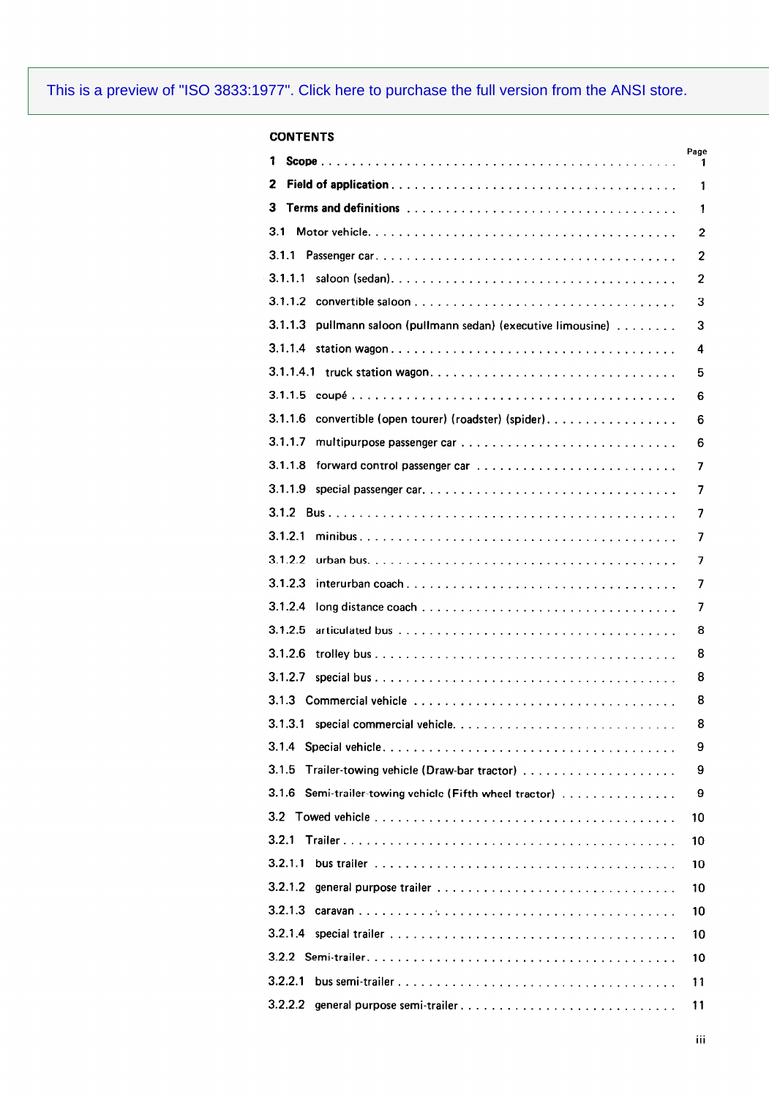| <b>CONTENTS</b>                                                                                                          |           |
|--------------------------------------------------------------------------------------------------------------------------|-----------|
| 1                                                                                                                        | Page<br>1 |
| 2                                                                                                                        | 1         |
| 3                                                                                                                        | 1         |
| 3.1                                                                                                                      | 2         |
| 3.1.1                                                                                                                    | 2         |
| 3.1.1.1                                                                                                                  | 2         |
| 3.1.1.2                                                                                                                  | 3         |
| 3.1.1.3<br>pullmann saloon (pullmann sedan) (executive limousine)                                                        | 3         |
| 3.1.1.4                                                                                                                  | 4         |
|                                                                                                                          | 5         |
| 3.1.1.5                                                                                                                  | 6         |
| 3.1.1.6<br>convertible (open tourer) (roadster) (spider)                                                                 | 6         |
| 3.1.1.7                                                                                                                  | 6         |
| 3.1.1.8                                                                                                                  | 7         |
| 3.1.1.9                                                                                                                  | 7         |
|                                                                                                                          | 7         |
| 3.1.2.1                                                                                                                  | 7         |
| 3.1.2.2                                                                                                                  | 7         |
| 3.1.2.3<br>$interurban coach \ldots \ldots \ldots \ldots \ldots \ldots \ldots \ldots \ldots \ldots \ldots \ldots \ldots$ | 7         |
| 3.1.2.4                                                                                                                  | 7         |
| 3.1.2.5                                                                                                                  | 8         |
| 3.1.2.6                                                                                                                  | 8         |
| 3.1.2.7                                                                                                                  | 8         |
|                                                                                                                          | 8         |
| 3.1.3.1                                                                                                                  | 8         |
| 3.1.4                                                                                                                    | 9         |
| 3.1.5                                                                                                                    | 9         |
| 3.1.6<br>Semi-trailer-towing vehicle (Fifth wheel tractor)                                                               | 9         |
|                                                                                                                          | 10        |
| 3.2.1                                                                                                                    | 10        |
| 3.2.1.1                                                                                                                  | 10        |
| 3.2.1.2                                                                                                                  | 10        |
| 3.2.1.3                                                                                                                  | 10        |
|                                                                                                                          | 10        |
|                                                                                                                          | 10        |
| 3.2.2.1                                                                                                                  | 11        |
| 3.2.2.2<br>general purpose semi-trailer                                                                                  | 11        |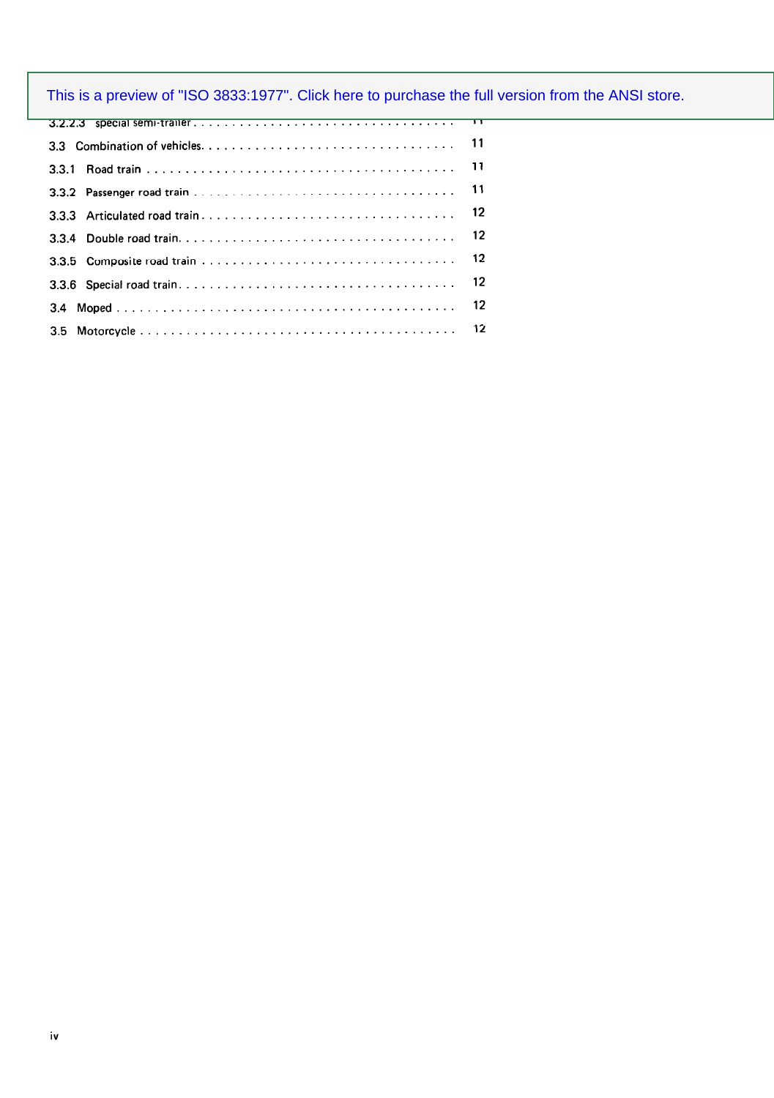| 12 <sup>°</sup> |
|-----------------|
| 12              |
|                 |
|                 |